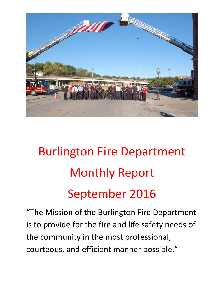

# Burlington Fire Department Monthly Report September 2016

"The Mission of the Burlington Fire Department is to provide for the fire and life safety needs of the community in the most professional, courteous, and efficient manner possible."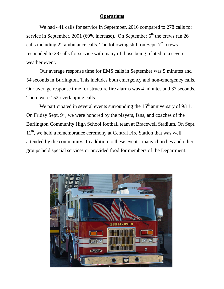#### **Operations**

We had 441 calls for service in September, 2016 compared to 278 calls for service in September, 2001 (60% increase). On September  $6<sup>th</sup>$  the crews ran 26 calls including 22 ambulance calls. The following shift on Sept.  $7<sup>th</sup>$ , crews responded to 28 calls for service with many of those being related to a severe weather event.

Our average response time for EMS calls in September was 5 minutes and 54 seconds in Burlington. This includes both emergency and non-emergency calls. Our average response time for structure fire alarms was 4 minutes and 37 seconds. There were 152 overlapping calls.

We participated in several events surrounding the  $15<sup>th</sup>$  anniversary of 9/11. On Friday Sept.  $9<sup>th</sup>$ , we were honored by the players, fans, and coaches of the Burlington Community High School football team at Bracewell Stadium. On Sept. 11<sup>th</sup>, we held a remembrance ceremony at Central Fire Station that was well attended by the community. In addition to these events, many churches and other groups held special services or provided food for members of the Department.

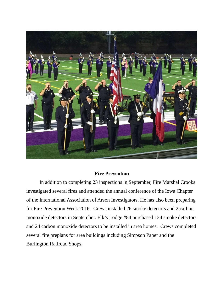

#### **Fire Prevention**

 In addition to completing 23 inspections in September, Fire Marshal Crooks investigated several fires and attended the annual conference of the Iowa Chapter of the International Association of Arson Investigators. He has also been preparing for Fire Prevention Week 2016. Crews installed 26 smoke detectors and 2 carbon monoxide detectors in September. Elk's Lodge #84 purchased 124 smoke detectors and 24 carbon monoxide detectors to be installed in area homes. Crews completed several fire preplans for area buildings including Simpson Paper and the Burlington Railroad Shops.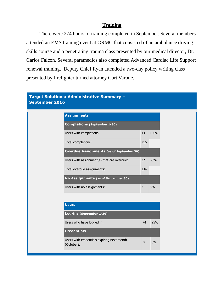#### **Training**

 There were 274 hours of training completed in September. Several members attended an EMS training event at GRMC that consisted of an ambulance driving skills course and a penetrating trauma class presented by our medical director, Dr. Carlos Falcon. Several paramedics also completed Advanced Cardiac Life Support renewal training. Deputy Chief Ryan attended a two-day policy writing class presented by firefighter turned attorney Curt Varone.

#### **Target Solutions: Administrative Summary – September 2016**

| <b>Assignments</b>                              |               |      |
|-------------------------------------------------|---------------|------|
| <b>Completions (September 1-30)</b>             |               |      |
| Users with completions:                         | 43            | 100% |
| Total completions:                              | 716           |      |
| <b>Overdue Assignments (as of September 30)</b> |               |      |
| Users with assignment(s) that are overdue:      | 27            | 63%  |
| Total overdue assignments:                      | 134           |      |
| No Assignments (as of September 30)             |               |      |
| Users with no assignments:                      | $\mathcal{P}$ | .5%  |

| <b>Users</b>                                             |              |     |
|----------------------------------------------------------|--------------|-----|
| Log-ins (September 1-30)                                 |              |     |
| Users who have logged in:                                | 41           | 95% |
| <b>Credentials</b>                                       |              |     |
| Users with credentials expiring next month<br>(October): | <sup>0</sup> | 0%  |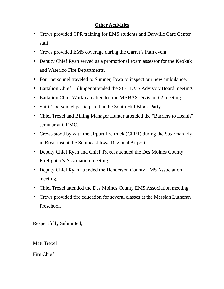## **Other Activities**

- Crews provided CPR training for EMS students and Danville Care Center staff.
- Crews provided EMS coverage during the Garret's Path event.
- Deputy Chief Ryan served as a promotional exam assessor for the Keokuk and Waterloo Fire Departments.
- Four personnel traveled to Sumner, Iowa to inspect our new ambulance.
- Battalion Chief Bullinger attended the SCC EMS Advisory Board meeting.
- Battalion Chief Workman attended the MABAS Division 62 meeting.
- Shift 1 personnel participated in the South Hill Block Party.
- Chief Trexel and Billing Manager Hunter attended the "Barriers to Health" seminar at GRMC.
- Crews stood by with the airport fire truck (CFR1) during the Stearman Flyin Breakfast at the Southeast Iowa Regional Airport.
- Deputy Chief Ryan and Chief Trexel attended the Des Moines County Firefighter's Association meeting.
- Deputy Chief Ryan attended the Henderson County EMS Association meeting.
- Chief Trexel attended the Des Moines County EMS Association meeting.
- Crews provided fire education for several classes at the Messiah Lutheran Preschool.

Respectfully Submitted,

Matt Trexel

Fire Chief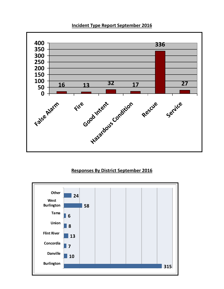

#### **Incident Type Report September 2016**

### **Responses By District September 2016**

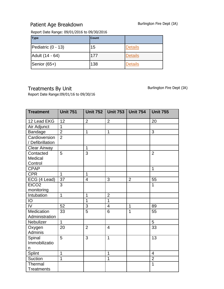# Patient Age Breakdown Burlington Fire Dept (IA)

Report Date Range: 09/01/2016 to 09/30/2016

| <b>Type</b>        | <b>Count</b> |                |
|--------------------|--------------|----------------|
| Pediatric (0 - 13) | 15           | <b>Details</b> |
| Adult (14 - 64)    | 177          | <b>Details</b> |
| Senior (65+)       | 138          | <b>Details</b> |

Treatments By Unit German Communication Burlington Fire Dept (IA)

Report Date Range:09/01/16 to 09/30/16

| <b>Treatment</b>                  | <b>Unit 751</b> | <b>Unit 752</b> | <b>Unit 753</b> | <b>Unit 754</b> | <b>Unit 755</b> |
|-----------------------------------|-----------------|-----------------|-----------------|-----------------|-----------------|
| 12 Lead EKG                       | 12              | $\overline{2}$  | $\overline{2}$  |                 | 20              |
| Air Adjunct                       | 1               |                 |                 |                 |                 |
| Bandage                           | $\overline{2}$  | $\mathbf{1}$    | $\overline{1}$  |                 | 3               |
| Cardioversion<br>/ Defibrillation | $\overline{2}$  |                 |                 |                 |                 |
| <b>Clear Airway</b>               |                 | $\mathbf 1$     |                 |                 |                 |
| Contacted<br>Medical<br>Control   | 5               | 3               |                 |                 | $\overline{2}$  |
| <b>CPAP</b>                       |                 |                 |                 |                 | $\mathbf{1}$    |
| <b>CPR</b>                        | $\overline{1}$  | $\overline{1}$  |                 |                 |                 |
| ECG (4 Lead)                      | 37              | 4               | 3               | $\overline{2}$  | 55              |
| EtCO <sub>2</sub><br>monitoring   | 3               |                 |                 |                 | $\mathbf{1}$    |
| Intubation                        | $\overline{1}$  | $\mathbf{1}$    | $\overline{2}$  |                 |                 |
| IO                                |                 | $\overline{1}$  | $\overline{1}$  |                 |                 |
| IV                                | 52              | 3               | $\overline{4}$  | $\mathbf{1}$    | 89              |
| Medication<br>Administration      | 33              | $\overline{5}$  | 6               | $\overline{1}$  | 55              |
| Nebulizer                         | $\overline{1}$  |                 |                 |                 | $\overline{5}$  |
| Oxygen<br>Adminis                 | 20              | $\overline{2}$  | $\overline{4}$  |                 | 33              |
| Spinal<br>Immobilizatio<br>n      | 5               | 3               | $\overline{1}$  |                 | 13              |
| Splint                            | $\overline{1}$  |                 | $\mathbf 1$     |                 | $\overline{4}$  |
| Suction                           | $\overline{1}$  |                 | $\mathbf 1$     |                 | $\overline{2}$  |
| Thermal<br><b>Treatments</b>      |                 |                 |                 |                 | $\overline{1}$  |